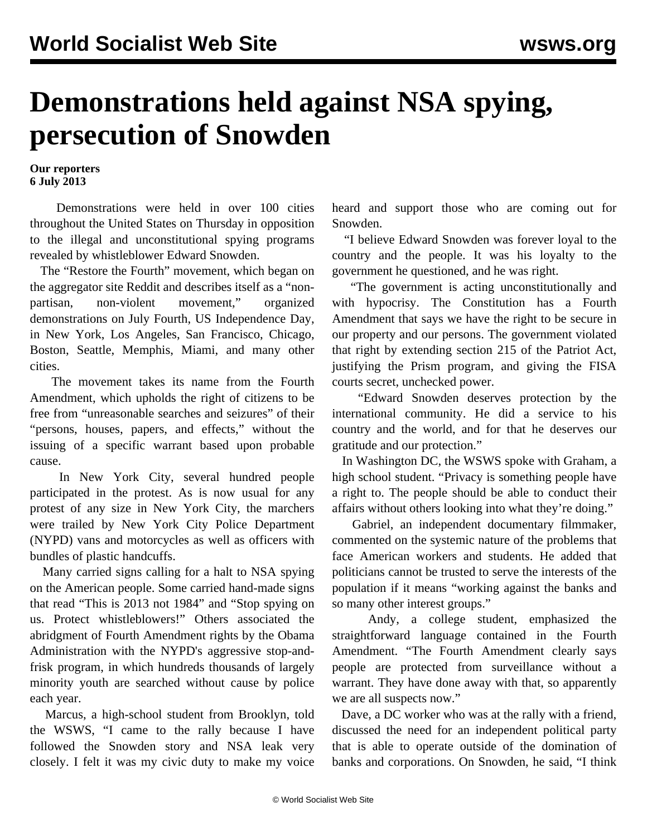## **Demonstrations held against NSA spying, persecution of Snowden**

**Our reporters 6 July 2013**

 Demonstrations were held in over 100 cities throughout the United States on Thursday in opposition to the illegal and unconstitutional spying programs revealed by whistleblower Edward Snowden.

 The "Restore the Fourth" movement, which began on the aggregator site Reddit and describes itself as a "nonpartisan, non-violent movement," organized demonstrations on July Fourth, US Independence Day, in New York, Los Angeles, San Francisco, Chicago, Boston, Seattle, Memphis, Miami, and many other cities.

 The movement takes its name from the Fourth Amendment, which upholds the right of citizens to be free from "unreasonable searches and seizures" of their "persons, houses, papers, and effects," without the issuing of a specific warrant based upon probable cause.

 In New York City, several hundred people participated in the protest. As is now usual for any protest of any size in New York City, the marchers were trailed by New York City Police Department (NYPD) vans and motorcycles as well as officers with bundles of plastic handcuffs.

 Many carried signs calling for a halt to NSA spying on the American people. Some carried hand-made signs that read "This is 2013 not 1984" and "Stop spying on us. Protect whistleblowers!" Others associated the abridgment of Fourth Amendment rights by the Obama Administration with the NYPD's aggressive stop-andfrisk program, in which hundreds thousands of largely minority youth are searched without cause by police each year.

 Marcus, a high-school student from Brooklyn, told the WSWS, "I came to the rally because I have followed the Snowden story and NSA leak very closely. I felt it was my civic duty to make my voice

heard and support those who are coming out for Snowden.

 "I believe Edward Snowden was forever loyal to the country and the people. It was his loyalty to the government he questioned, and he was right.

 "The government is acting unconstitutionally and with hypocrisy. The Constitution has a Fourth Amendment that says we have the right to be secure in our property and our persons. The government violated that right by extending section 215 of the Patriot Act, justifying the Prism program, and giving the FISA courts secret, unchecked power.

 "Edward Snowden deserves protection by the international community. He did a service to his country and the world, and for that he deserves our gratitude and our protection."

 In Washington DC, the WSWS spoke with Graham, a high school student. "Privacy is something people have a right to. The people should be able to conduct their affairs without others looking into what they're doing."

 Gabriel, an independent documentary filmmaker, commented on the systemic nature of the problems that face American workers and students. He added that politicians cannot be trusted to serve the interests of the population if it means "working against the banks and so many other interest groups."

 Andy, a college student, emphasized the straightforward language contained in the Fourth Amendment. "The Fourth Amendment clearly says people are protected from surveillance without a warrant. They have done away with that, so apparently we are all suspects now."

 Dave, a DC worker who was at the rally with a friend, discussed the need for an independent political party that is able to operate outside of the domination of banks and corporations. On Snowden, he said, "I think